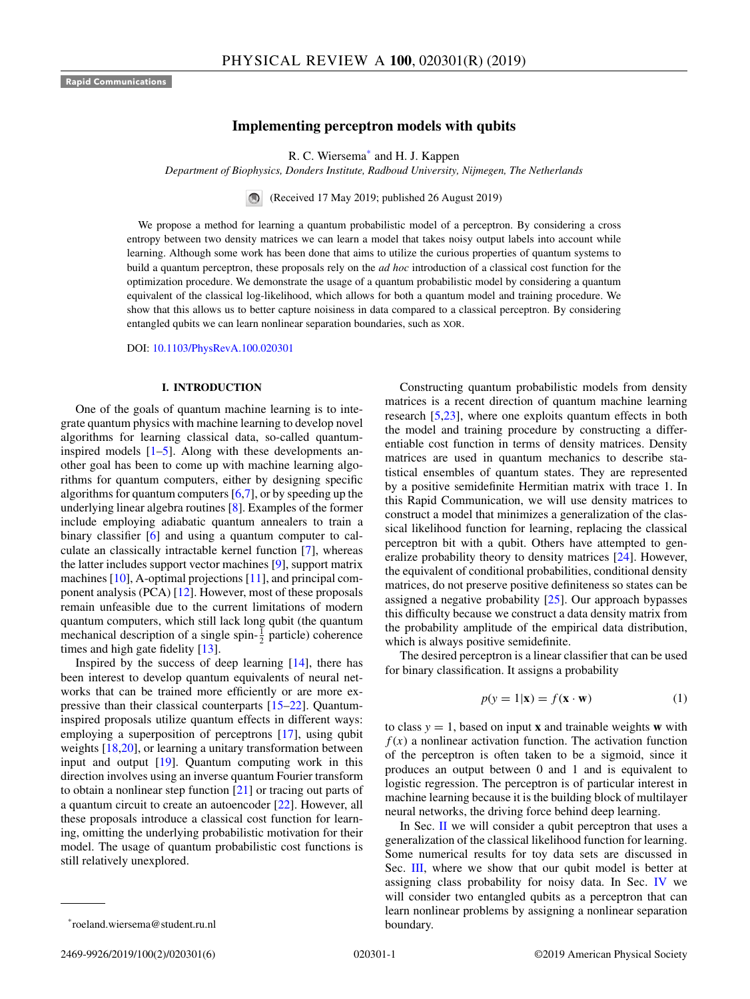# **Implementing perceptron models with qubits**

R. C. Wiersema\* and H. J. Kappen

*Department of Biophysics, Donders Institute, Radboud University, Nijmegen, The Netherlands*

(Received 17 May 2019; published 26 August 2019)

We propose a method for learning a quantum probabilistic model of a perceptron. By considering a cross entropy between two density matrices we can learn a model that takes noisy output labels into account while learning. Although some work has been done that aims to utilize the curious properties of quantum systems to build a quantum perceptron, these proposals rely on the *ad hoc* introduction of a classical cost function for the optimization procedure. We demonstrate the usage of a quantum probabilistic model by considering a quantum equivalent of the classical log-likelihood, which allows for both a quantum model and training procedure. We show that this allows us to better capture noisiness in data compared to a classical perceptron. By considering entangled qubits we can learn nonlinear separation boundaries, such as XOR.

DOI: [10.1103/PhysRevA.100.020301](https://doi.org/10.1103/PhysRevA.100.020301)

#### **I. INTRODUCTION**

One of the goals of quantum machine learning is to integrate quantum physics with machine learning to develop novel algorithms for learning classical data, so-called quantuminspired models  $[1–5]$  $[1–5]$ . Along with these developments another goal has been to come up with machine learning algorithms for quantum computers, either by designing specific algorithms for quantum computers  $[6,7]$ , or by speeding up the underlying linear algebra routines [\[8\]](#page-5-0). Examples of the former include employing adiabatic quantum annealers to train a binary classifier [\[6\]](#page-5-0) and using a quantum computer to calculate an classically intractable kernel function [\[7\]](#page-5-0), whereas the latter includes support vector machines [\[9\]](#page-5-0), support matrix machines [\[10\]](#page-5-0), A-optimal projections [\[11\]](#page-5-0), and principal component analysis (PCA) [\[12\]](#page-5-0). However, most of these proposals remain unfeasible due to the current limitations of modern quantum computers, which still lack long qubit (the quantum mechanical description of a single spin- $\frac{1}{2}$  particle) coherence times and high gate fidelity [\[13\]](#page-5-0).

Inspired by the success of deep learning [\[14\]](#page-5-0), there has been interest to develop quantum equivalents of neural networks that can be trained more efficiently or are more expressive than their classical counterparts [\[15–22\]](#page-5-0). Quantuminspired proposals utilize quantum effects in different ways: employing a superposition of perceptrons [\[17\]](#page-5-0), using qubit weights [\[18,20\]](#page-5-0), or learning a unitary transformation between input and output [\[19\]](#page-5-0). Quantum computing work in this direction involves using an inverse quantum Fourier transform to obtain a nonlinear step function [\[21\]](#page-5-0) or tracing out parts of a quantum circuit to create an autoencoder [\[22\]](#page-5-0). However, all these proposals introduce a classical cost function for learning, omitting the underlying probabilistic motivation for their model. The usage of quantum probabilistic cost functions is still relatively unexplored.

2469-9926/2019/100(2)/020301(6) 020301-1 ©2019 American Physical Society

Constructing quantum probabilistic models from density matrices is a recent direction of quantum machine learning research [\[5,23\]](#page-5-0), where one exploits quantum effects in both the model and training procedure by constructing a differentiable cost function in terms of density matrices. Density matrices are used in quantum mechanics to describe statistical ensembles of quantum states. They are represented by a positive semidefinite Hermitian matrix with trace 1. In this Rapid Communication, we will use density matrices to construct a model that minimizes a generalization of the classical likelihood function for learning, replacing the classical perceptron bit with a qubit. Others have attempted to generalize probability theory to density matrices [\[24\]](#page-5-0). However, the equivalent of conditional probabilities, conditional density matrices, do not preserve positive definiteness so states can be assigned a negative probability [\[25\]](#page-5-0). Our approach bypasses this difficulty because we construct a data density matrix from the probability amplitude of the empirical data distribution, which is always positive semidefinite.

The desired perceptron is a linear classifier that can be used for binary classification. It assigns a probability

$$
p(y = 1|\mathbf{x}) = f(\mathbf{x} \cdot \mathbf{w}) \tag{1}
$$

to class  $y = 1$ , based on input **x** and trainable weights **w** with  $f(x)$  a nonlinear activation function. The activation function of the perceptron is often taken to be a sigmoid, since it produces an output between 0 and 1 and is equivalent to logistic regression. The perceptron is of particular interest in machine learning because it is the building block of multilayer neural networks, the driving force behind deep learning.

In Sec. [II](#page-1-0) we will consider a qubit perceptron that uses a generalization of the classical likelihood function for learning. Some numerical results for toy data sets are discussed in Sec. [III,](#page-2-0) where we show that our qubit model is better at assigning class probability for noisy data. In Sec. [IV](#page-4-0) we will consider two entangled qubits as a perceptron that can learn nonlinear problems by assigning a nonlinear separation boundary.

<sup>\*</sup>roeland.wiersema@student.ru.nl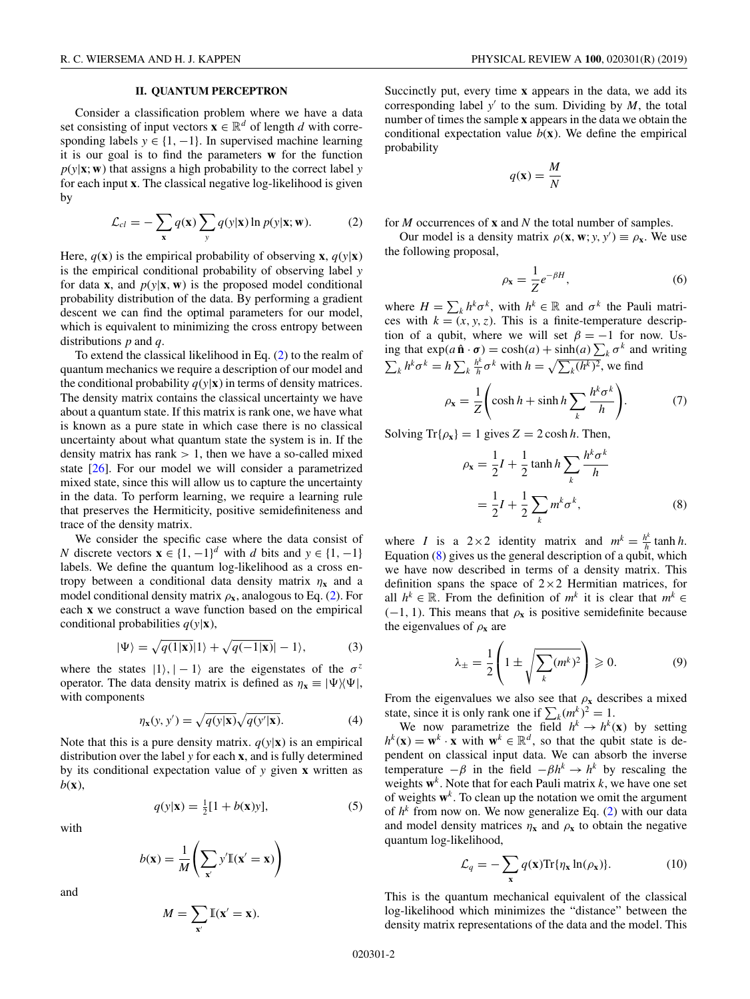### **II. QUANTUM PERCEPTRON**

<span id="page-1-0"></span>Consider a classification problem where we have a data set consisting of input vectors  $\mathbf{x} \in \mathbb{R}^d$  of length *d* with corresponding labels  $y \in \{1, -1\}$ . In supervised machine learning it is our goal is to find the parameters **w** for the function  $p(y|\mathbf{x}; \mathbf{w})$  that assigns a high probability to the correct label *y* for each input **x**. The classical negative log-likelihood is given by

$$
\mathcal{L}_{cl} = -\sum_{\mathbf{x}} q(\mathbf{x}) \sum_{\mathbf{y}} q(\mathbf{y}|\mathbf{x}) \ln p(\mathbf{y}|\mathbf{x}; \mathbf{w}). \tag{2}
$$

Here,  $q(\mathbf{x})$  is the empirical probability of observing **x**,  $q(y|\mathbf{x})$ is the empirical conditional probability of observing label *y* for data **x**, and  $p(y|\mathbf{x}, \mathbf{w})$  is the proposed model conditional probability distribution of the data. By performing a gradient descent we can find the optimal parameters for our model, which is equivalent to minimizing the cross entropy between distributions *p* and *q*.

To extend the classical likelihood in Eq. (2) to the realm of quantum mechanics we require a description of our model and the conditional probability  $q(y|\mathbf{x})$  in terms of density matrices. The density matrix contains the classical uncertainty we have about a quantum state. If this matrix is rank one, we have what is known as a pure state in which case there is no classical uncertainty about what quantum state the system is in. If the density matrix has rank  $> 1$ , then we have a so-called mixed state [\[26\]](#page-5-0). For our model we will consider a parametrized mixed state, since this will allow us to capture the uncertainty in the data. To perform learning, we require a learning rule that preserves the Hermiticity, positive semidefiniteness and trace of the density matrix.

We consider the specific case where the data consist of *N* discrete vectors  $\mathbf{x} \in \{1, -1\}^d$  with *d* bits and  $y \in \{1, -1\}$ labels. We define the quantum log-likelihood as a cross entropy between a conditional data density matrix  $\eta_x$  and a model conditional density matrix  $\rho_{\bf x}$ , analogous to Eq. (2). For each **x** we construct a wave function based on the empirical conditional probabilities *q*(*y*|**x**),

$$
|\Psi\rangle = \sqrt{q(1|\mathbf{x})}|1\rangle + \sqrt{q(-1|\mathbf{x})}| - 1\rangle, \tag{3}
$$

where the states  $|1\rangle$ ,  $|-1\rangle$  are the eigenstates of the  $\sigma^z$ operator. The data density matrix is defined as  $\eta_x \equiv |\Psi\rangle \langle \Psi|$ , with components

$$
\eta_{\mathbf{x}}(\mathbf{y}, \mathbf{y}') = \sqrt{q(\mathbf{y}|\mathbf{x})} \sqrt{q(\mathbf{y}'|\mathbf{x})}.
$$
 (4)

Note that this is a pure density matrix.  $q(y|\mathbf{x})$  is an empirical distribution over the label *y* for each **x**, and is fully determined by its conditional expectation value of *y* given **x** written as *b*(**x**),

$$
q(y|\mathbf{x}) = \frac{1}{2}[1 + b(\mathbf{x})y],
$$
 (5)

with

$$
b(\mathbf{x}) = \frac{1}{M} \left( \sum_{\mathbf{x}'} y' \mathbb{I}(\mathbf{x}' = \mathbf{x}) \right)
$$

and

$$
M=\sum_{\mathbf{x}'}\mathbb{I}(\mathbf{x}'=\mathbf{x}).
$$

Succinctly put, every time **x** appears in the data, we add its corresponding label  $y'$  to the sum. Dividing by  $M$ , the total number of times the sample **x** appears in the data we obtain the conditional expectation value  $b(x)$ . We define the empirical probability

$$
q(\mathbf{x}) = \frac{M}{N}
$$

for *M* occurrences of **x** and *N* the total number of samples.

Our model is a density matrix  $\rho$ (**x**, **w**; *y*, *y'*)  $\equiv \rho$ <sub>**x**</sub>. We use the following proposal,

$$
\rho_{\mathbf{x}} = \frac{1}{Z} e^{-\beta H},\tag{6}
$$

where  $H = \sum_{k} h^{k} \sigma^{k}$ , with  $h^{k} \in \mathbb{R}$  and  $\sigma^{k}$  the Pauli matrices with  $k = (x, y, z)$ . This is a finite-temperature description of a qubit, where we will set  $\beta = -1$  for now. Using that  $exp(a \hat{\mathbf{n}} \cdot \boldsymbol{\sigma}) = cosh(a) + sinh(a) \sum_{k} \sigma^{k}$  and writing  $\sum_{k} h^{k} \sigma^{k} = h \sum_{k} \frac{h^{k}}{h} \sigma^{k}$  with  $h = \sqrt{\sum_{k} (h^{k})^{2}}$ , we find

$$
\rho_{\mathbf{x}} = \frac{1}{Z} \left( \cosh h + \sinh h \sum_{k} \frac{h^k \sigma^k}{h} \right). \tag{7}
$$

Solving Tr $\{\rho_{\bf x}\} = 1$  gives  $Z = 2 \cosh h$ . Then,

$$
\rho_{\mathbf{x}} = \frac{1}{2}I + \frac{1}{2}\tanh h \sum_{k} \frac{h^{k} \sigma^{k}}{h}
$$

$$
= \frac{1}{2}I + \frac{1}{2}\sum_{k} m^{k} \sigma^{k}, \tag{8}
$$

where *I* is a 2×2 identity matrix and  $m^k = \frac{h^k}{h} \tanh h$ . Equation (8) gives us the general description of a qubit, which we have now described in terms of a density matrix. This definition spans the space of  $2 \times 2$  Hermitian matrices, for all  $h^k \in \mathbb{R}$ . From the definition of  $m^k$  it is clear that  $m^k \in$  $(-1, 1)$ . This means that  $\rho_{\bf x}$  is positive semidefinite because the eigenvalues of  $\rho_x$  are

$$
\lambda_{\pm} = \frac{1}{2} \left( 1 \pm \sqrt{\sum_{k} (m^k)^2} \right) \geqslant 0. \tag{9}
$$

From the eigenvalues we also see that  $\rho_x$  describes a mixed state, since it is only rank one if  $\sum_{k} (m^{k})^2 = 1$ .

We now parametrize the field  $h^k \rightarrow h^k(\mathbf{x})$  by setting  $h^k$ (**x**) = **w**<sup>*k*</sup> · **x** with  $\mathbf{w}^k \in \mathbb{R}^d$ , so that the qubit state is dependent on classical input data. We can absorb the inverse temperature  $-\beta$  in the field  $-\beta h^k \rightarrow h^k$  by rescaling the weights  $\mathbf{w}^k$ . Note that for each Pauli matrix  $k$ , we have one set of weights  $\mathbf{w}^k$ . To clean up the notation we omit the argument of  $h^k$  from now on. We now generalize Eq. (2) with our data and model density matrices  $\eta_x$  and  $\rho_x$  to obtain the negative quantum log-likelihood,

$$
\mathcal{L}_q = -\sum_{\mathbf{x}} q(\mathbf{x}) \text{Tr}\{\eta_{\mathbf{x}} \ln(\rho_{\mathbf{x}})\}.
$$
 (10)

This is the quantum mechanical equivalent of the classical log-likelihood which minimizes the "distance" between the density matrix representations of the data and the model. This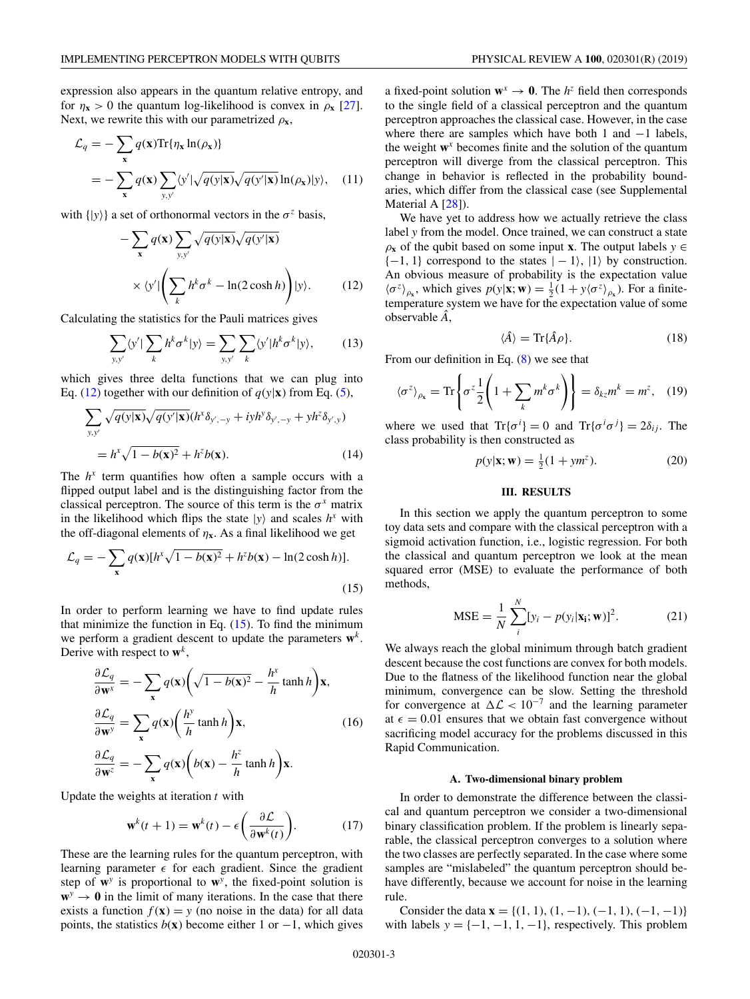<span id="page-2-0"></span>expression also appears in the quantum relative entropy, and for  $\eta_{\bf x} > 0$  the quantum log-likelihood is convex in  $\rho_{\bf x}$  [\[27\]](#page-5-0). Next, we rewrite this with our parametrized  $\rho_{\bf x}$ ,

$$
\mathcal{L}_q = -\sum_{\mathbf{x}} q(\mathbf{x}) \text{Tr}\{\eta_{\mathbf{x}} \ln(\rho_{\mathbf{x}})\}
$$

$$
= -\sum_{\mathbf{x}} q(\mathbf{x}) \sum_{y, y'} \langle y' | \sqrt{q(y|\mathbf{x})} \sqrt{q(y'|\mathbf{x})} \ln(\rho_{\mathbf{x}}) |y \rangle, \quad (11)
$$

with  $\{|y\rangle\}$  a set of orthonormal vectors in the  $\sigma^z$  basis,

$$
-\sum_{\mathbf{x}} q(\mathbf{x}) \sum_{y,y'} \sqrt{q(y|\mathbf{x})} \sqrt{q(y'|\mathbf{x})}
$$

$$
\times \langle y'|\left(\sum_{k} h^{k} \sigma^{k} - \ln(2 \cosh h)\right)|y\rangle. \tag{12}
$$

Calculating the statistics for the Pauli matrices gives

$$
\sum_{y,y'} \langle y' | \sum_k h^k \sigma^k | y \rangle = \sum_{y,y'} \sum_k \langle y' | h^k \sigma^k | y \rangle, \qquad (13)
$$

which gives three delta functions that we can plug into Eq. (12) together with our definition of  $q(y|\mathbf{x})$  from Eq. [\(5\)](#page-1-0),

$$
\sum_{y,y'} \sqrt{q(y|\mathbf{x})} \sqrt{q(y'|\mathbf{x})} (h^x \delta_{y',-y} + i y h^y \delta_{y',-y} + y h^z \delta_{y',y})
$$
  
=  $h^x \sqrt{1 - b(\mathbf{x})^2} + h^z b(\mathbf{x}).$  (14)

The  $h^x$  term quantifies how often a sample occurs with a flipped output label and is the distinguishing factor from the classical perceptron. The source of this term is the  $\sigma^x$  matrix in the likelihood which flips the state  $|y\rangle$  and scales  $h^x$  with the off-diagonal elements of  $\eta_x$ . As a final likelihood we get

$$
\mathcal{L}_q = -\sum_{\mathbf{x}} q(\mathbf{x}) [h^x \sqrt{1 - b(\mathbf{x})^2} + h^z b(\mathbf{x}) - \ln(2 \cosh h)].
$$
\n(15)

In order to perform learning we have to find update rules that minimize the function in Eq.  $(15)$ . To find the minimum we perform a gradient descent to update the parameters **w***<sup>k</sup>* . Derive with respect to  $w^k$ ,

$$
\frac{\partial \mathcal{L}_q}{\partial \mathbf{w}^x} = -\sum_{\mathbf{x}} q(\mathbf{x}) \left( \sqrt{1 - b(\mathbf{x})^2} - \frac{h^x}{h} \tanh h \right) \mathbf{x},
$$
  

$$
\frac{\partial \mathcal{L}_q}{\partial \mathbf{w}^y} = \sum_{\mathbf{x}} q(\mathbf{x}) \left( \frac{h^y}{h} \tanh h \right) \mathbf{x},
$$
(16)  

$$
\frac{\partial \mathcal{L}_q}{\partial \mathbf{w}^z} = -\sum_{\mathbf{x}} q(\mathbf{x}) \left( b(\mathbf{x}) - \frac{h^z}{h} \tanh h \right) \mathbf{x}.
$$

Update the weights at iteration *t* with

$$
\mathbf{w}^{k}(t+1) = \mathbf{w}^{k}(t) - \epsilon \left(\frac{\partial \mathcal{L}}{\partial \mathbf{w}^{k}(t)}\right).
$$
 (17)

These are the learning rules for the quantum perceptron, with learning parameter  $\epsilon$  for each gradient. Since the gradient step of  $\mathbf{w}^y$  is proportional to  $\mathbf{w}^y$ , the fixed-point solution is  $\mathbf{w}^y \to \mathbf{0}$  in the limit of many iterations. In the case that there exists a function  $f(x) = y$  (no noise in the data) for all data points, the statistics  $b(x)$  become either 1 or  $-1$ , which gives

a fixed-point solution  $\mathbf{w}^x \to \mathbf{0}$ . The  $h^z$  field then corresponds to the single field of a classical perceptron and the quantum perceptron approaches the classical case. However, in the case where there are samples which have both 1 and −1 labels, the weight  $w^x$  becomes finite and the solution of the quantum perceptron will diverge from the classical perceptron. This change in behavior is reflected in the probability boundaries, which differ from the classical case (see Supplemental Material A [\[28\]](#page-5-0)).

We have yet to address how we actually retrieve the class label *y* from the model. Once trained, we can construct a state  $\rho_{\bf x}$  of the qubit based on some input **x**. The output labels  $y \in$  $\{-1, 1\}$  correspond to the states  $|-1\rangle$ ,  $|1\rangle$  by construction. An obvious measure of probability is the expectation value  $\langle \sigma^z \rangle_{\rho_{\mathbf{x}}}$ , which gives  $p(y|\mathbf{x}; \mathbf{w}) = \frac{1}{2}(1 + y \langle \sigma^z \rangle_{\rho_{\mathbf{x}}})$ . For a finitetemperature system we have for the expectation value of some observable *A*ˆ,

$$
\langle \hat{A} \rangle = \text{Tr}\{\hat{A}\rho\}.
$$
 (18)

From our definition in Eq. [\(8\)](#page-1-0) we see that

$$
\langle \sigma^z \rangle_{\rho_x} = \text{Tr} \left\{ \sigma^z \frac{1}{2} \left( 1 + \sum_k m^k \sigma^k \right) \right\} = \delta_{kz} m^k = m^z, \quad (19)
$$

where we used that  $Tr{\{\sigma^{i}\}} = 0$  and  $Tr{\{\sigma^{i}\sigma^{j}\}} = 2\delta_{ij}$ . The class probability is then constructed as

$$
p(y|\mathbf{x}; \mathbf{w}) = \frac{1}{2}(1 + ym^z). \tag{20}
$$

#### **III. RESULTS**

In this section we apply the quantum perceptron to some toy data sets and compare with the classical perceptron with a sigmoid activation function, i.e., logistic regression. For both the classical and quantum perceptron we look at the mean squared error (MSE) to evaluate the performance of both methods,

$$
\text{MSE} = \frac{1}{N} \sum_{i}^{N} [y_i - p(y_i | \mathbf{x_i}; \mathbf{w})]^2.
$$
 (21)

We always reach the global minimum through batch gradient descent because the cost functions are convex for both models. Due to the flatness of the likelihood function near the global minimum, convergence can be slow. Setting the threshold for convergence at  $\Delta \mathcal{L} < 10^{-7}$  and the learning parameter at  $\epsilon = 0.01$  ensures that we obtain fast convergence without sacrificing model accuracy for the problems discussed in this Rapid Communication.

#### **A. Two-dimensional binary problem**

In order to demonstrate the difference between the classical and quantum perceptron we consider a two-dimensional binary classification problem. If the problem is linearly separable, the classical perceptron converges to a solution where the two classes are perfectly separated. In the case where some samples are "mislabeled" the quantum perceptron should behave differently, because we account for noise in the learning rule.

Consider the data  $\mathbf{x} = \{(1, 1), (1, -1), (-1, 1), (-1, -1)\}\$ with labels  $y = \{-1, -1, 1, -1\}$ , respectively. This problem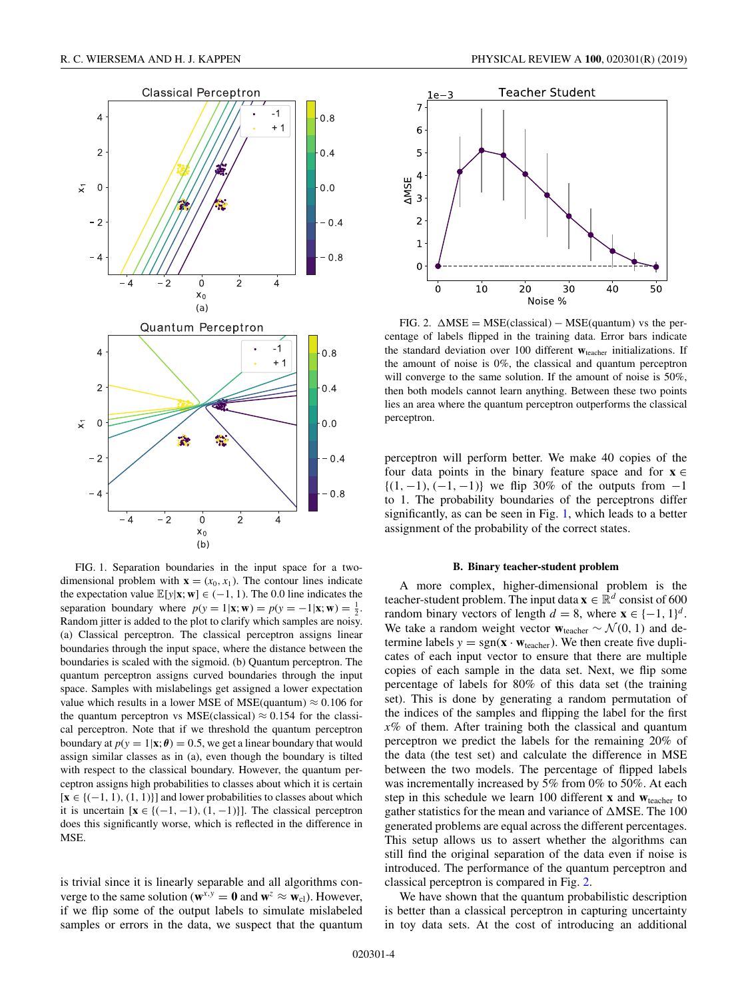

FIG. 1. Separation boundaries in the input space for a twodimensional problem with  $\mathbf{x} = (x_0, x_1)$ . The contour lines indicate the expectation value  $\mathbb{E}[y|\mathbf{x}; \mathbf{w}] \in (-1, 1)$ . The 0.0 line indicates the separation boundary where  $p(y = 1|\mathbf{x}; \mathbf{w}) = p(y = -1|\mathbf{x}; \mathbf{w}) = \frac{1}{2}$ . Random jitter is added to the plot to clarify which samples are noisy. (a) Classical perceptron. The classical perceptron assigns linear boundaries through the input space, where the distance between the boundaries is scaled with the sigmoid. (b) Quantum perceptron. The quantum perceptron assigns curved boundaries through the input space. Samples with mislabelings get assigned a lower expectation value which results in a lower MSE of MSE(quantum)  $\approx 0.106$  for the quantum perceptron vs MSE(classical)  $\approx 0.154$  for the classical perceptron. Note that if we threshold the quantum perceptron boundary at  $p(y = 1|\mathbf{x}; \theta) = 0.5$ , we get a linear boundary that would assign similar classes as in (a), even though the boundary is tilted with respect to the classical boundary. However, the quantum perceptron assigns high probabilities to classes about which it is certain  $[\mathbf{x} \in \{(-1, 1), (1, 1)\}]$  and lower probabilities to classes about which it is uncertain  $[\mathbf{x} \in \{(-1, -1), (1, -1)\}]$ . The classical perceptron does this significantly worse, which is reflected in the difference in MSE.

is trivial since it is linearly separable and all algorithms converge to the same solution ( $\mathbf{w}^{x,y} = \mathbf{0}$  and  $\mathbf{w}^z \approx \mathbf{w}_{cl}$ ). However, if we flip some of the output labels to simulate mislabeled samples or errors in the data, we suspect that the quantum



FIG. 2.  $\triangle MSE = MSE(classical) - MSE(quantum)$  vs the percentage of labels flipped in the training data. Error bars indicate the standard deviation over 100 different **w**<sub>teacher</sub> initializations. If the amount of noise is 0%, the classical and quantum perceptron will converge to the same solution. If the amount of noise is 50%, then both models cannot learn anything. Between these two points lies an area where the quantum perceptron outperforms the classical perceptron.

perceptron will perform better. We make 40 copies of the four data points in the binary feature space and for  $x \in$  $\{(1, -1), (-1, -1)\}\$ we flip 30% of the outputs from  $-1$ to 1. The probability boundaries of the perceptrons differ significantly, as can be seen in Fig. 1, which leads to a better assignment of the probability of the correct states.

#### **B. Binary teacher-student problem**

A more complex, higher-dimensional problem is the teacher-student problem. The input data  $\mathbf{x} \in \mathbb{R}^d$  consist of 600 random binary vectors of length  $d = 8$ , where  $\mathbf{x} \in \{-1, 1\}^d$ . We take a random weight vector  $w_{\text{teacher}} \sim \mathcal{N}(0, 1)$  and determine labels  $y = sgn(x \cdot w_{teacher})$ . We then create five duplicates of each input vector to ensure that there are multiple copies of each sample in the data set. Next, we flip some percentage of labels for 80% of this data set (the training set). This is done by generating a random permutation of the indices of the samples and flipping the label for the first *x*% of them. After training both the classical and quantum perceptron we predict the labels for the remaining 20% of the data (the test set) and calculate the difference in MSE between the two models. The percentage of flipped labels was incrementally increased by 5% from 0% to 50%. At each step in this schedule we learn 100 different **x** and **w**teacher to gather statistics for the mean and variance of  $\triangle$ MSE. The 100 generated problems are equal across the different percentages. This setup allows us to assert whether the algorithms can still find the original separation of the data even if noise is introduced. The performance of the quantum perceptron and classical perceptron is compared in Fig. 2.

We have shown that the quantum probabilistic description is better than a classical perceptron in capturing uncertainty in toy data sets. At the cost of introducing an additional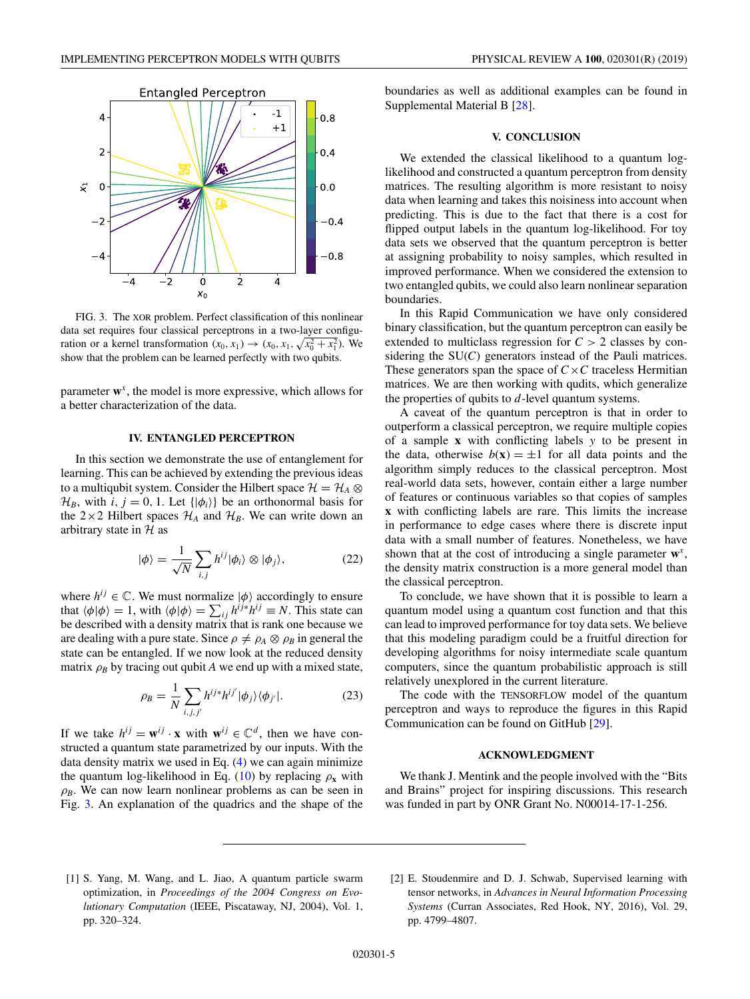<span id="page-4-0"></span>

FIG. 3. The XOR problem. Perfect classification of this nonlinear data set requires four classical perceptrons in a two-layer configuration or a kernel transformation  $(x_0, x_1) \rightarrow (x_0, x_1, \sqrt{x_0^2 + x_1^2})$ . We show that the problem can be learned perfectly with two qubits.

parameter  $\mathbf{w}^x$ , the model is more expressive, which allows for a better characterization of the data.

## **IV. ENTANGLED PERCEPTRON**

In this section we demonstrate the use of entanglement for learning. This can be achieved by extending the previous ideas to a multiqubit system. Consider the Hilbert space  $\mathcal{H} = \mathcal{H}_A \otimes$  $\mathcal{H}_B$ , with *i*, *j* = 0, 1. Let { $|\phi_i\rangle$ } be an orthonormal basis for the  $2 \times 2$  Hilbert spaces  $\mathcal{H}_A$  and  $\mathcal{H}_B$ . We can write down an arbitrary state in  $H$  as

$$
|\phi\rangle = \frac{1}{\sqrt{N}} \sum_{i,j} h^{ij} |\phi_i\rangle \otimes |\phi_j\rangle, \tag{22}
$$

where  $h^{ij} \in \mathbb{C}$ . We must normalize  $|\phi\rangle$  accordingly to ensure that  $\langle \phi | \phi \rangle = 1$ , with  $\langle \phi | \phi \rangle = \sum_{i,j} h^{i j * h^{i j}} \equiv N$ . This state can be described with a density matrix that is rank one because we are dealing with a pure state. Since  $\rho \neq \rho_A \otimes \rho_B$  in general the state can be entangled. If we now look at the reduced density matrix  $\rho_B$  by tracing out qubit *A* we end up with a mixed state,

$$
\rho_B = \frac{1}{N} \sum_{i,j,j'} h^{ij*} h^{ij'} |\phi_j\rangle \langle \phi_{j'}|.
$$
 (23)

If we take  $h^{ij} = \mathbf{w}^{ij} \cdot \mathbf{x}$  with  $\mathbf{w}^{ij} \in \mathbb{C}^d$ , then we have constructed a quantum state parametrized by our inputs. With the data density matrix we used in Eq. [\(4\)](#page-1-0) we can again minimize the quantum log-likelihood in Eq. [\(10\)](#page-1-0) by replacing  $\rho_x$  with  $\rho_B$ . We can now learn nonlinear problems as can be seen in Fig. 3. An explanation of the quadrics and the shape of the Supplemental Material B [\[28\]](#page-5-0).

## **V. CONCLUSION**

We extended the classical likelihood to a quantum loglikelihood and constructed a quantum perceptron from density matrices. The resulting algorithm is more resistant to noisy data when learning and takes this noisiness into account when predicting. This is due to the fact that there is a cost for flipped output labels in the quantum log-likelihood. For toy data sets we observed that the quantum perceptron is better at assigning probability to noisy samples, which resulted in improved performance. When we considered the extension to two entangled qubits, we could also learn nonlinear separation boundaries.

In this Rapid Communication we have only considered binary classification, but the quantum perceptron can easily be extended to multiclass regression for  $C > 2$  classes by considering the SU(*C*) generators instead of the Pauli matrices. These generators span the space of  $C \times C$  traceless Hermitian matrices. We are then working with qudits, which generalize the properties of qubits to *d*-level quantum systems.

A caveat of the quantum perceptron is that in order to outperform a classical perceptron, we require multiple copies of a sample **x** with conflicting labels *y* to be present in the data, otherwise  $b(x) = \pm 1$  for all data points and the algorithm simply reduces to the classical perceptron. Most real-world data sets, however, contain either a large number of features or continuous variables so that copies of samples **x** with conflicting labels are rare. This limits the increase in performance to edge cases where there is discrete input data with a small number of features. Nonetheless, we have shown that at the cost of introducing a single parameter **w***<sup>x</sup>*, the density matrix construction is a more general model than the classical perceptron.

To conclude, we have shown that it is possible to learn a quantum model using a quantum cost function and that this can lead to improved performance for toy data sets. We believe that this modeling paradigm could be a fruitful direction for developing algorithms for noisy intermediate scale quantum computers, since the quantum probabilistic approach is still relatively unexplored in the current literature.

The code with the TENSORFLOW model of the quantum perceptron and ways to reproduce the figures in this Rapid Communication can be found on GitHub [\[29\]](#page-5-0).

### **ACKNOWLEDGMENT**

We thank J. Mentink and the people involved with the "Bits and Brains" project for inspiring discussions. This research was funded in part by ONR Grant No. N00014-17-1-256.

- [1] S. Yang, M. Wang, and L. Jiao, A quantum particle swarm optimization, in *Proceedings of the 2004 Congress on Evolutionary Computation* (IEEE, Piscataway, NJ, 2004), Vol. 1, pp. 320–324.
- [2] E. Stoudenmire and D. J. Schwab, Supervised learning with tensor networks, in *Advances in Neural Information Processing Systems* (Curran Associates, Red Hook, NY, 2016), Vol. 29, pp. 4799–4807.